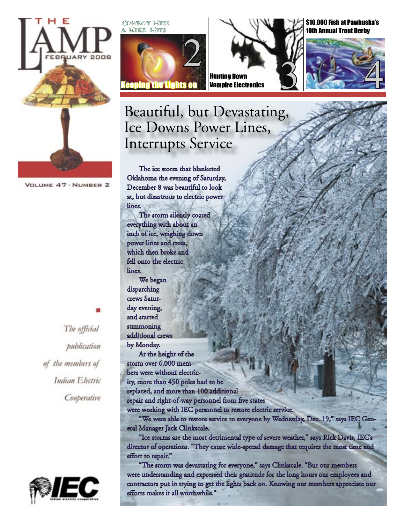

VOLUME 47 - NUMBER 2

The official publication of the members of Indian Electric Cooperative



Cowboy Hats





\$10,000 Fish at Pawhuska's **Oth Annual Trout Derby** 



### Beautiful, but Devastating, Ice Downs Power Lines, Interrupts Service

The ice storm that blanketed Oklahoma the evening of Saturday, December 8 was beautiful to look at, but disastrous to electric power lines.

The storm silently coated everything with about an inch of ice, weighing down power lines and trees, which then broke and fell onto the electric lines.

We began dispatching crews Saturday evening, and started summoning additional crew by Monday.

At the height of the storm over 6,000 members were without electricity, more than 450 poles had to be replaced, and more than 100 additional repair and right-of-way personnel from five states were working with IEC personnel to restore electric service.

"We were able to restore service to everyone by Wednesday, Dec. 19," says IEC General Manager Jack Clinkscale.

"Ice storms are the most detrimental type of severe weather," says Rick Davis, IEC's director of operations. "They cause wide-spread damage that requires the most time and effort to repair."

"The storm was devastating for everyone," says Clinkscale. "But our members were understanding and expressed their gratitude for the long hours our employees and contractors put in trying to get the lights back on. Knowing our members appreciate our efforts makes it all worthwhile."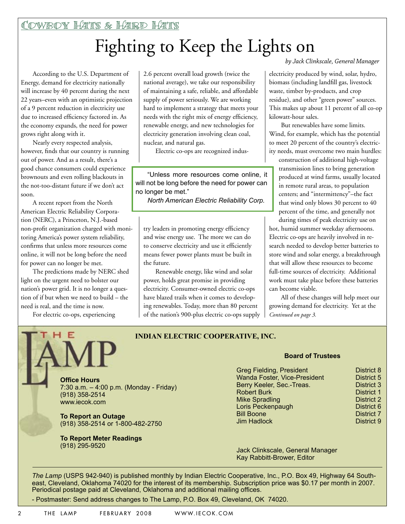# Fighting to Keep the Lights on

According to the U.S. Department of Energy, demand for electricity nationally will increase by 40 percent during the next 22 years–even with an optimistic projection of a 9 percent reduction in electricity use due to increased efficiency factored in. As the economy expands, the need for power grows right along with it.

Nearly every respected analysis, however, finds that our country is running out of power. And as a result, there's a good chance consumers could experience brownouts and even rolling blackouts in the not-too-distant future if we don't act soon.

A recent report from the North American Electric Reliability Corporation (NERC), a Princeton, N.J.-based non-profit organization charged with monitoring America's power system reliability, confirms that unless more resources come online, it will not be long before the need for power can no longer be met.

The predictions made by NERC shed light on the urgent need to bolster our nation's power grid. It is no longer a question of if but when we need to build – the need is real, and the time is now.

For electric co-ops, experiencing



2.6 percent overall load growth (twice the national average), we take our responsibility of maintaining a safe, reliable, and affordable supply of power seriously. We are working hard to implement a strategy that meets your needs with the right mix of energy efficiency, renewable energy, and new technologies for electricity generation involving clean coal, nuclear, and natural gas.

Electric co-ops are recognized indus-

"Unless more resources come online, it will not be long before the need for power can no longer be met."

*North American Electric Reliability Corp.*

try leaders in promoting energy efficiency and wise energy use. The more we can do to conserve electricity and use it efficiently means fewer power plants must be built in the future.

Renewable energy, like wind and solar power, holds great promise in providing electricity. Consumer-owned electric co-ops have blazed trails when it comes to developing renewables. Today, more than 80 percent of the nation's 900-plus electric co-ops supply *by Jack Clinkscale, General Manager*

electricity produced by wind, solar, hydro, biomass (including landfill gas, livestock waste, timber by-products, and crop residue), and other "green power" sources. This makes up about 11 percent of all co-op kilowatt-hour sales.

But renewables have some limits. Wind, for example, which has the potential to meet 20 percent of the country's electricity needs, must overcome two main hurdles:

construction of additional high-voltage transmission lines to bring generation produced at wind farms, usually located in remote rural areas, to population centers; and "intermittency"–the fact that wind only blows 30 percent to 40 percent of the time, and generally not

during times of peak electricity use on hot, humid summer weekday afternoons. Electric co-ops are heavily involved in research needed to develop better batteries to store wind and solar energy, a breakthrough that will allow these resources to become full-time sources of electricity. Additional work must take place before these batteries can become viable.

All of these changes will help meet our growing demand for electricity. Yet at the *Continued on page 3.*

#### **INDIAN ELECTRIC COOPERATIVE, INC.**

7:30 a.m. – 4:00 p.m. (Monday - Friday) (918) 358-2514 www.iecok.com

**To Report an Outage** (918) 358-2514 or 1-800-482-2750

**To Report Meter Readings**  (918) 295-9520

#### **Board of Trustees**

| <b>Greg Fielding, President</b> | District 8        |
|---------------------------------|-------------------|
| Wanda Foster, Vice-President    | District 5        |
| Berry Keeler, Sec.-Treas.       | <b>District 3</b> |
| <b>Robert Burk</b>              | <b>District 1</b> |
| <b>Mike Spradling</b>           | <b>District 2</b> |
| Loris Peckenpaugh               | District 6        |
| <b>Bill Boone</b>               | <b>District 7</b> |
| <b>Jim Hadlock</b>              | District 9        |

Jack Clinkscale, General Manager Kay Rabbitt-Brower, Editor

*The Lamp* (USPS 942-940) is published monthly by Indian Electric Cooperative, Inc., P.O. Box 49, Highway 64 Southeast, Cleveland, Oklahoma 74020 for the interest of its membership. Subscription price was \$0.17 per month in 2007. Periodical postage paid at Cleveland, Oklahoma and additional mailing offices.

- Postmaster: Send address changes to The Lamp, P.O. Box 49, Cleveland, OK 74020.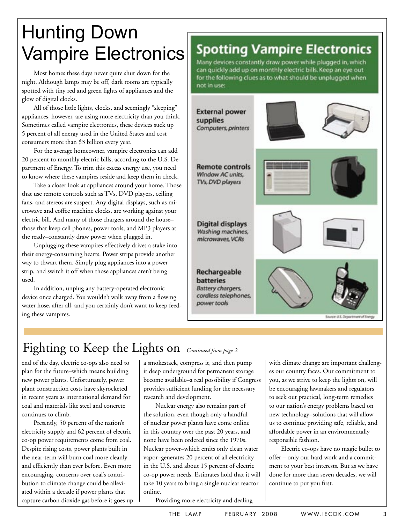## Hunting Down Vampire Electronics

Most homes these days never quite shut down for the night. Although lamps may be off, dark rooms are typically spotted with tiny red and green lights of appliances and the glow of digital clocks.

All of those little lights, clocks, and seemingly "sleeping" appliances, however, are using more electricity than you think. Sometimes called vampire electronics, these devices suck up 5 percent of all energy used in the United States and cost consumers more than \$3 billion every year.

For the average homeowner, vampire electronics can add 20 percent to monthly electric bills, according to the U.S. Department of Energy. To trim this excess energy use, you need to know where these vampires reside and keep them in check.

Take a closer look at appliances around your home. Those that use remote controls such as TVs, DVD players, ceiling fans, and stereos are suspect. Any digital displays, such as microwave and coffee machine clocks, are working against your electric bill. And many of those chargers around the house– those that keep cell phones, power tools, and MP3 players at the ready–constantly draw power when plugged in.

Unplugging these vampires effectively drives a stake into their energy-consuming hearts. Power strips provide another way to thwart them. Simply plug appliances into a power strip, and switch it off when those appliances aren't being used.

In addition, unplug any battery-operated electronic device once charged. You wouldn't walk away from a flowing water hose, after all, and you certainly don't want to keep feeding these vampires.

### **Spotting Vampire Electronics**

Many devices constantly draw power while plugged in, which can quickly add up on monthly electric bills. Keep an eye out for the following clues as to what should be unplugged when not in use:



### Fighting to Keep the Lights on *Continued from page 2.*

end of the day, electric co-ops also need to plan for the future–which means building new power plants. Unfortunately, power plant construction costs have skyrocketed in recent years as international demand for coal and materials like steel and concrete continues to climb.

Presently, 50 percent of the nation's electricity supply and 62 percent of electric co-op power requirements come from coal. Despite rising costs, power plants built in the near-term will burn coal more cleanly and efficiently than ever before. Even more encouraging, concerns over coal's contribution to climate change could be alleviated within a decade if power plants that capture carbon dioxide gas before it goes up a smokestack, compress it, and then pump it deep underground for permanent storage become available–a real possibility if Congress provides sufficient funding for the necessary research and development.

Nuclear energy also remains part of the solution, even though only a handful of nuclear power plants have come online in this country over the past 20 years, and none have been ordered since the 1970s. Nuclear power–which emits only clean water vapor–generates 20 percent of all electricity in the U.S. and about 15 percent of electric co-op power needs. Estimates hold that it will take 10 years to bring a single nuclear reactor online.

es our country faces. Our commitment to you, as we strive to keep the lights on, will be encouraging lawmakers and regulators to seek out practical, long-term remedies to our nation's energy problems based on new technology–solutions that will allow us to continue providing safe, reliable, and affordable power in an environmentally responsible fashion.

with climate change are important challeng-

Electric co-ops have no magic bullet to offer – only our hard work and a commitment to your best interests. But as we have done for more than seven decades, we will continue to put you first.

Providing more electricity and dealing